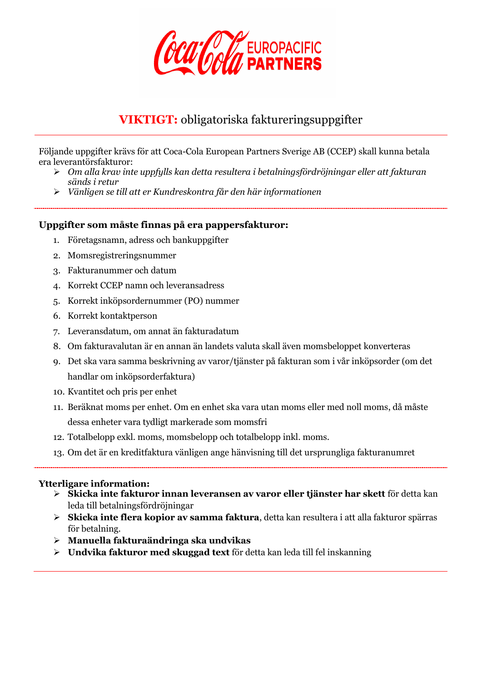

# **VIKTIGT:** obligatoriska faktureringsuppgifter

Följande uppgifter krävs för att Coca-Cola European Partners Sverige AB (CCEP) skall kunna betala era leverantörsfakturor:

- *Om alla krav inte uppfylls kan detta resultera i betalningsfördröjningar eller att fakturan sänds i retur*
- *Vänligen se till att er Kundreskontra får den här informationen*

### **Uppgifter som måste finnas på era pappersfakturor:**

- 1. Företagsnamn, adress och bankuppgifter
- 2. Momsregistreringsnummer
- 3. Fakturanummer och datum
- 4. Korrekt CCEP namn och leveransadress
- 5. Korrekt inköpsordernummer (PO) nummer
- 6. Korrekt kontaktperson
- 7. Leveransdatum, om annat än fakturadatum
- 8. Om fakturavalutan är en annan än landets valuta skall även momsbeloppet konverteras
- 9. Det ska vara samma beskrivning av varor/tjänster på fakturan som i vår inköpsorder (om det handlar om inköpsorderfaktura)
- 10. Kvantitet och pris per enhet
- 11. Beräknat moms per enhet. Om en enhet ska vara utan moms eller med noll moms, då måste dessa enheter vara tydligt markerade som momsfri
- 12. Totalbelopp exkl. moms, momsbelopp och totalbelopp inkl. moms.
- 13. Om det är en kreditfaktura vänligen ange hänvisning till det ursprungliga fakturanumret

### **Ytterligare information:**

- **Skicka inte fakturor innan leveransen av varor eller tjänster har skett** för detta kan leda till betalningsfördröjningar
- **Skicka inte flera kopior av samma faktura**, detta kan resultera i att alla fakturor spärras för betalning.
- **Manuella fakturaändringa ska undvikas**
- **Undvika fakturor med skuggad text** för detta kan leda till fel inskanning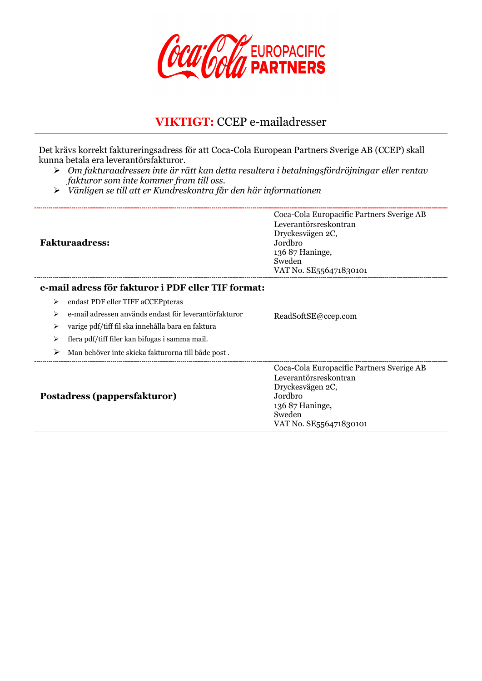

## **VIKTIGT:** CCEP e-mailadresser

Det krävs korrekt faktureringsadress för att Coca-Cola European Partners Sverige AB (CCEP) skall kunna betala era leverantörsfakturor.

- *Om fakturaadressen inte är rätt kan detta resultera i betalningsfördröjningar eller rentav fakturor som inte kommer fram till oss.*
- *Vänligen se till att er Kundreskontra får den här informationen*

| <b>Fakturaadress:</b>                                      | Coca-Cola Europacific Partners Sverige AB<br>Leverantörsreskontran<br>Dryckesvägen 2C,<br>Jordbro<br>136 87 Haninge,<br>Sweden<br>VAT No. SE556471830101 |
|------------------------------------------------------------|----------------------------------------------------------------------------------------------------------------------------------------------------------|
| e-mail adress för fakturor i PDF eller TIF format:         |                                                                                                                                                          |
| endast PDF eller TIFF aCCEPpteras<br>⋗                     |                                                                                                                                                          |
| e-mail adressen används endast för leverantörfakturor<br>⋗ | ReadSoftSE@ccep.com                                                                                                                                      |
| varige pdf/tiff fil ska innehålla bara en faktura<br>⋗     |                                                                                                                                                          |
| flera pdf/tiff filer kan bifogas i samma mail.<br>⋗        |                                                                                                                                                          |
| ➤<br>Man behöver inte skicka fakturorna till både post.    |                                                                                                                                                          |
| Postadress (pappersfakturor)                               | Coca-Cola Europacific Partners Sverige AB<br>Leverantörsreskontran<br>Dryckesvägen 2C,<br>Jordbro<br>136 87 Haninge,<br>Sweden<br>VAT No. SE556471830101 |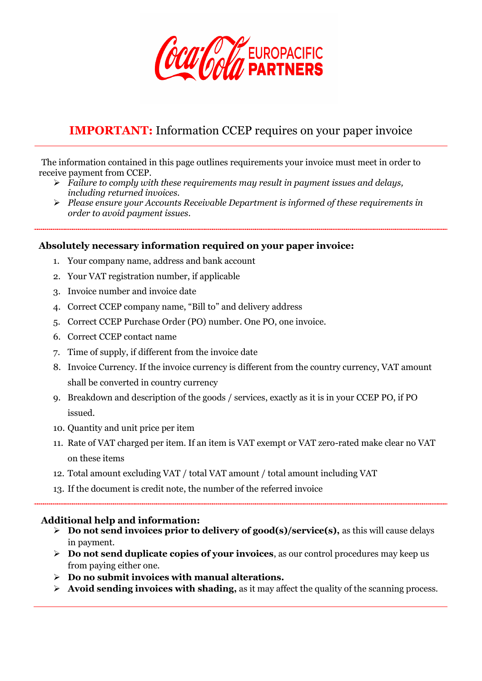

## **IMPORTANT:** Information CCEP requires on your paper invoice

The information contained in this page outlines requirements your invoice must meet in order to receive payment from CCEP.

- *Failure to comply with these requirements may result in payment issues and delays, including returned invoices.*
- *Please ensure your Accounts Receivable Department is informed of these requirements in order to avoid payment issues.*

#### **Absolutely necessary information required on your paper invoice:**

- 1. Your company name, address and bank account
- 2. Your VAT registration number, if applicable
- 3. Invoice number and invoice date
- 4. Correct CCEP company name, "Bill to" and delivery address
- 5. Correct CCEP Purchase Order (PO) number. One PO, one invoice.
- 6. Correct CCEP contact name
- 7. Time of supply, if different from the invoice date
- 8. Invoice Currency. If the invoice currency is different from the country currency, VAT amount shall be converted in country currency
- 9. Breakdown and description of the goods / services, exactly as it is in your CCEP PO, if PO issued.
- 10. Quantity and unit price per item
- 11. Rate of VAT charged per item. If an item is VAT exempt or VAT zero-rated make clear no VAT on these items
- 12. Total amount excluding VAT / total VAT amount / total amount including VAT
- 13. If the document is credit note, the number of the referred invoice

#### **Additional help and information:**

- **Do not send invoices prior to delivery of good(s)/service(s),** as this will cause delays in payment.
- **Do not send duplicate copies of your invoices**, as our control procedures may keep us from paying either one.
- **Do no submit invoices with manual alterations.**
- **Avoid sending invoices with shading,** as it may affect the quality of the scanning process.